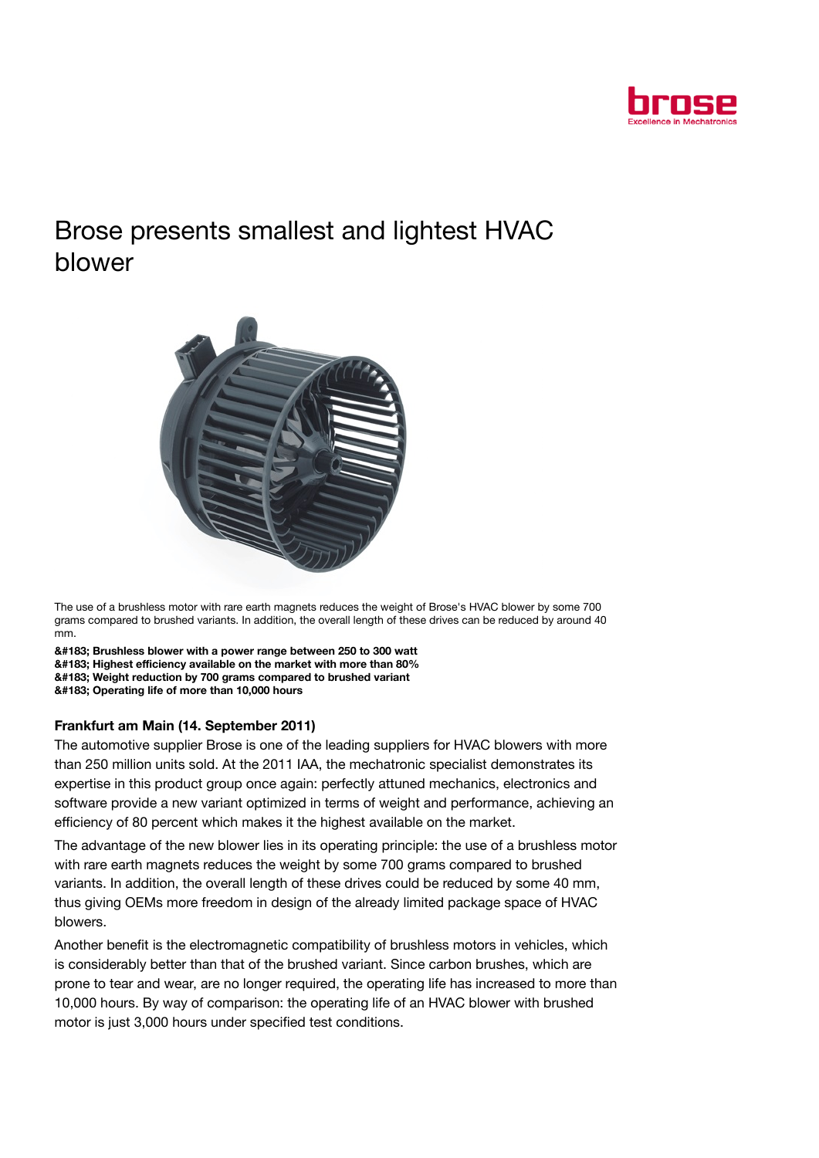

## Brose presents smallest and lightest HVAC blower



The use of a brushless motor with rare earth magnets reduces the weight of Brose's HVAC blower by some 700 grams compared to brushed variants. In addition, the overall length of these drives can be reduced by around 40 mm.

· Brushless blower with a power range between 250 to 300 watt · Highest efficiency available on the market with more than 80% · Weight reduction by 700 grams compared to brushed variant · Operating life of more than 10,000 hours

## Frankfurt am Main (14. September 2011)

The automotive supplier Brose is one of the leading suppliers for HVAC blowers with more than 250 million units sold. At the 2011 IAA, the mechatronic specialist demonstrates its expertise in this product group once again: perfectly attuned mechanics, electronics and software provide a new variant optimized in terms of weight and performance, achieving an efficiency of 80 percent which makes it the highest available on the market.

The advantage of the new blower lies in its operating principle: the use of a brushless motor with rare earth magnets reduces the weight by some 700 grams compared to brushed variants. In addition, the overall length of these drives could be reduced by some 40 mm, thus giving OEMs more freedom in design of the already limited package space of HVAC blowers.

Another benefit is the electromagnetic compatibility of brushless motors in vehicles, which is considerably better than that of the brushed variant. Since carbon brushes, which are prone to tear and wear, are no longer required, the operating life has increased to more than 10,000 hours. By way of comparison: the operating life of an HVAC blower with brushed motor is just 3,000 hours under specified test conditions.